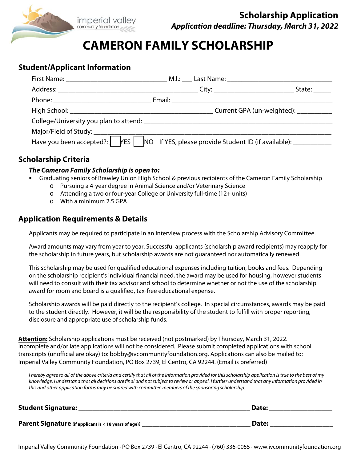

# **CAMERON FAMILY SCHOLARSHIP**

## **Student/Applicant Information**

|                                                                                                     | State:                                 |
|-----------------------------------------------------------------------------------------------------|----------------------------------------|
|                                                                                                     |                                        |
|                                                                                                     | Current GPA (un-weighted): ___________ |
|                                                                                                     |                                        |
|                                                                                                     |                                        |
| Have you been accepted?: THES TIMO If YES, please provide Student ID (if available): ______________ |                                        |

### **Scholarship Criteria**

#### **The Cameron Family Scholarship is open to:**

- Graduating seniors of Brawley Union High School & previous recipients of the Cameron Family Scholarship
	- o Pursuing a 4-year degree in Animal Science and/or Veterinary Science
	- o Attending a two or four-year College or University full-time (12+ units)
	- o With a minimum 2.5 GPA

## **Application Requirements & Details**

Applicants may be required to participate in an interview process with the Scholarship Advisory Committee.

Award amounts may vary from year to year. Successful applicants (scholarship award recipients) may reapply for the scholarship in future years, but scholarship awards are not guaranteed nor automatically renewed.

This scholarship may be used for qualified educational expenses including tuition, books and fees. Depending on the scholarship recipient's individual financial need, the award may be used for housing, however students will need to consult with their tax advisor and school to determine whether or not the use of the scholarship award for room and board is a qualified, tax-free educational expense.

Scholarship awards will be paid directly to the recipient's college. In special circumstances, awards may be paid to the student directly. However, it will be the responsibility of the student to fulfill with proper reporting, disclosure and appropriate use of scholarship funds.

**Attention:** Scholarship applications must be received (not postmarked) by Thursday, March 31, 2022. Incomplete and/or late applications will not be considered. Please submit completed applications with school transcripts (unofficial are okay) to: bobby@ivcommunityfoundation.org. Applications can also be mailed to: Imperial Valley Community Foundation, PO Box 2739, El Centro, CA 92244. (Email is preferred)

I hereby agree to all of the above criteria and certify that all of the information provided for this scholarship application is true to the best of my knowledge. I understand that all decisions are final and not subject to review or appeal. I further understand that any information provided in this and other application forms may be shared with committee members of the sponsoring scholarship.

| <b>Student Signature:</b>                             | Date: |
|-------------------------------------------------------|-------|
| Parent Signature (if applicant is < 18 years of age): | Date: |

Imperial Valley Community Foundation ∙ PO Box 2739 ∙ El Centro, CA 92244 ∙ (760) 336-0055 ∙ www.ivcommunityfoundation.org